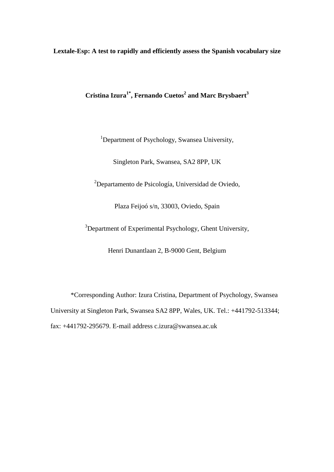**Lextale-Esp: A test to rapidly and efficiently assess the Spanish vocabulary size** 

**Cristina Izura1\*, Fernando Cuetos<sup>2</sup> and Marc Brysbaert<sup>3</sup>**

<sup>1</sup>Department of Psychology, Swansea University,

Singleton Park, Swansea, SA2 8PP, UK

<sup>2</sup>Departamento de Psicología, Universidad de Oviedo,

Plaza Feijoó s/n, 33003, Oviedo, Spain

<sup>3</sup>Department of Experimental Psychology, Ghent University,

Henri Dunantlaan 2, B-9000 Gent, Belgium

\*Corresponding Author: Izura Cristina, Department of Psychology, Swansea University at Singleton Park, Swansea SA2 8PP, Wales, UK. Tel.: +441792-513344; fax: +441792-295679. E-mail address c.izura@swansea.ac.uk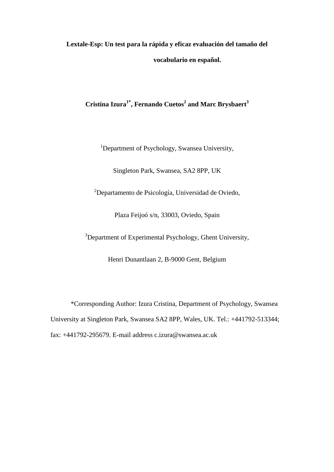# **Lextale-Esp: Un test para la rápida y eficaz evaluación del tamaño del vocabulario en español.**

# **Cristina Izura1\*, Fernando Cuetos<sup>2</sup> and Marc Brysbaert<sup>3</sup>**

<sup>1</sup>Department of Psychology, Swansea University,

Singleton Park, Swansea, SA2 8PP, UK

<sup>2</sup>Departamento de Psicología, Universidad de Oviedo,

Plaza Feijoó s/n, 33003, Oviedo, Spain

<sup>3</sup>Department of Experimental Psychology, Ghent University,

Henri Dunantlaan 2, B-9000 Gent, Belgium

\*Corresponding Author: Izura Cristina, Department of Psychology, Swansea University at Singleton Park, Swansea SA2 8PP, Wales, UK. Tel.: +441792-513344; fax: +441792-295679. E-mail address c.izura@swansea.ac.uk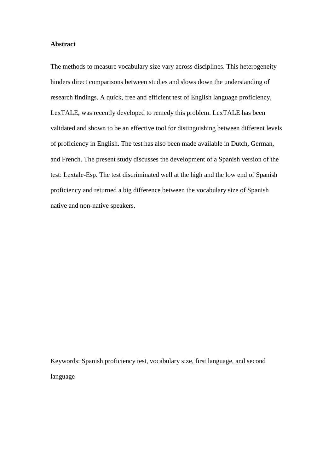### **Abstract**

The methods to measure vocabulary size vary across disciplines. This heterogeneity hinders direct comparisons between studies and slows down the understanding of research findings. A quick, free and efficient test of English language proficiency, LexTALE, was recently developed to remedy this problem. LexTALE has been validated and shown to be an effective tool for distinguishing between different levels of proficiency in English. The test has also been made available in Dutch, German, and French. The present study discusses the development of a Spanish version of the test: Lextale-Esp. The test discriminated well at the high and the low end of Spanish proficiency and returned a big difference between the vocabulary size of Spanish native and non-native speakers.

Keywords: Spanish proficiency test, vocabulary size, first language, and second language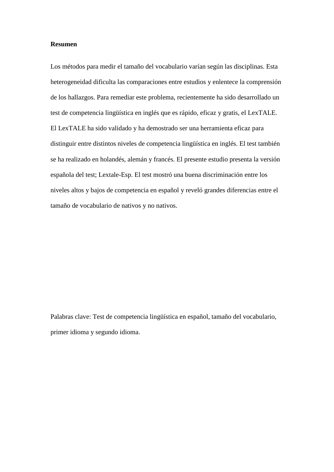#### **Resumen**

Los métodos para medir el tamaño del vocabulario varían según las disciplinas. Esta heterogeneidad dificulta las comparaciones entre estudios y enlentece la comprensión de los hallazgos. Para remediar este problema, recientemente ha sido desarrollado un test de competencia lingüística en inglés que es rápido, eficaz y gratis, el LexTALE. El LexTALE ha sido validado y ha demostrado ser una herramienta eficaz para distinguir entre distintos niveles de competencia lingüística en inglés. El test también se ha realizado en holandés, alemán y francés. El presente estudio presenta la versión española del test; Lextale-Esp. El test mostró una buena discriminación entre los niveles altos y bajos de competencia en español y reveló grandes diferencias entre el tamaño de vocabulario de nativos y no nativos.

Palabras clave: Test de competencia lingüística en español, tamaño del vocabulario, primer idioma y segundo idioma.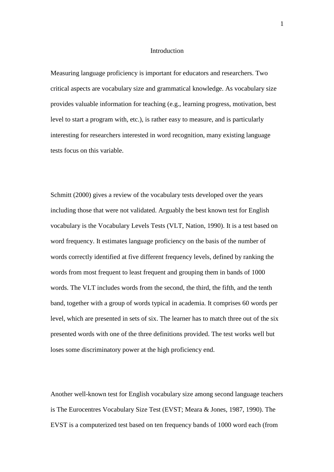#### Introduction

Measuring language proficiency is important for educators and researchers. Two critical aspects are vocabulary size and grammatical knowledge. As vocabulary size provides valuable information for teaching (e.g., learning progress, motivation, best level to start a program with, etc.), is rather easy to measure, and is particularly interesting for researchers interested in word recognition, many existing language tests focus on this variable.

Schmitt (2000) gives a review of the vocabulary tests developed over the years including those that were not validated. Arguably the best known test for English vocabulary is the Vocabulary Levels Tests (VLT, Nation, 1990). It is a test based on word frequency. It estimates language proficiency on the basis of the number of words correctly identified at five different frequency levels, defined by ranking the words from most frequent to least frequent and grouping them in bands of 1000 words. The VLT includes words from the second, the third, the fifth, and the tenth band, together with a group of words typical in academia. It comprises 60 words per level, which are presented in sets of six. The learner has to match three out of the six presented words with one of the three definitions provided. The test works well but loses some discriminatory power at the high proficiency end.

Another well-known test for English vocabulary size among second language teachers is The Eurocentres Vocabulary Size Test (EVST; Meara & Jones, 1987, 1990). The EVST is a computerized test based on ten frequency bands of 1000 word each (from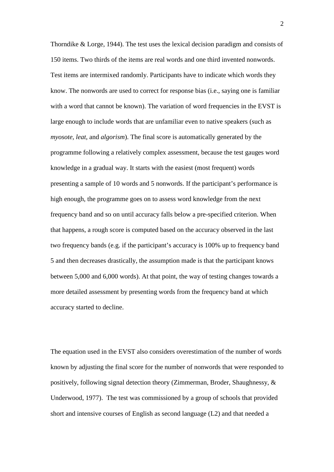Thorndike & Lorge, 1944). The test uses the lexical decision paradigm and consists of 150 items. Two thirds of the items are real words and one third invented nonwords. Test items are intermixed randomly. Participants have to indicate which words they know. The nonwords are used to correct for response bias (i.e., saying one is familiar with a word that cannot be known). The variation of word frequencies in the EVST is large enough to include words that are unfamiliar even to native speakers (such as *myosote, leat*, and *algorism*). The final score is automatically generated by the programme following a relatively complex assessment, because the test gauges word knowledge in a gradual way. It starts with the easiest (most frequent) words presenting a sample of 10 words and 5 nonwords. If the participant's performance is high enough, the programme goes on to assess word knowledge from the next frequency band and so on until accuracy falls below a pre-specified criterion. When that happens, a rough score is computed based on the accuracy observed in the last two frequency bands (e.g. if the participant's accuracy is 100% up to frequency band 5 and then decreases drastically, the assumption made is that the participant knows between 5,000 and 6,000 words). At that point, the way of testing changes towards a more detailed assessment by presenting words from the frequency band at which accuracy started to decline.

The equation used in the EVST also considers overestimation of the number of words known by adjusting the final score for the number of nonwords that were responded to positively, following signal detection theory (Zimmerman, Broder, Shaughnessy, & Underwood, 1977). The test was commissioned by a group of schools that provided short and intensive courses of English as second language (L2) and that needed a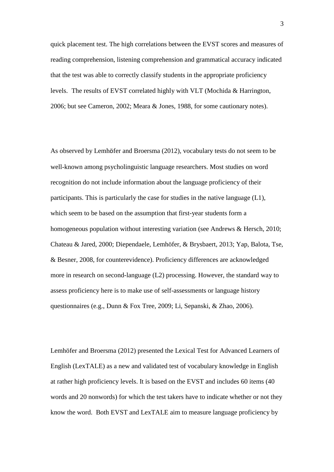quick placement test. The high correlations between the EVST scores and measures of reading comprehension, listening comprehension and grammatical accuracy indicated that the test was able to correctly classify students in the appropriate proficiency levels. The results of EVST correlated highly with VLT (Mochida & Harrington, 2006; but see Cameron, 2002; Meara & Jones, 1988, for some cautionary notes).

As observed by Lemhöfer and Broersma (2012), vocabulary tests do not seem to be well-known among psycholinguistic language researchers. Most studies on word recognition do not include information about the language proficiency of their participants. This is particularly the case for studies in the native language (L1), which seem to be based on the assumption that first-year students form a homogeneous population without interesting variation (see Andrews & Hersch, 2010; Chateau & Jared, 2000; Diependaele, Lemhöfer, & Brysbaert, 2013; Yap, Balota, Tse, & Besner, 2008, for counterevidence). Proficiency differences are acknowledged more in research on second-language (L2) processing. However, the standard way to assess proficiency here is to make use of self-assessments or language history questionnaires (e.g., Dunn & Fox Tree, 2009; Li, Sepanski, & Zhao, 2006).

Lemhöfer and Broersma (2012) presented the Lexical Test for Advanced Learners of English (LexTALE) as a new and validated test of vocabulary knowledge in English at rather high proficiency levels. It is based on the EVST and includes 60 items (40 words and 20 nonwords) for which the test takers have to indicate whether or not they know the word. Both EVST and LexTALE aim to measure language proficiency by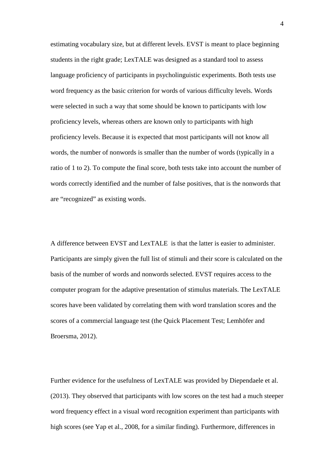estimating vocabulary size, but at different levels. EVST is meant to place beginning students in the right grade; LexTALE was designed as a standard tool to assess language proficiency of participants in psycholinguistic experiments. Both tests use word frequency as the basic criterion for words of various difficulty levels. Words were selected in such a way that some should be known to participants with low proficiency levels, whereas others are known only to participants with high proficiency levels. Because it is expected that most participants will not know all words, the number of nonwords is smaller than the number of words (typically in a ratio of 1 to 2). To compute the final score, both tests take into account the number of words correctly identified and the number of false positives, that is the nonwords that are "recognized" as existing words.

A difference between EVST and LexTALE is that the latter is easier to administer. Participants are simply given the full list of stimuli and their score is calculated on the basis of the number of words and nonwords selected. EVST requires access to the computer program for the adaptive presentation of stimulus materials. The LexTALE scores have been validated by correlating them with word translation scores and the scores of a commercial language test (the Quick Placement Test; Lemhöfer and Broersma, 2012).

Further evidence for the usefulness of LexTALE was provided by Diependaele et al. (2013). They observed that participants with low scores on the test had a much steeper word frequency effect in a visual word recognition experiment than participants with high scores (see Yap et al., 2008, for a similar finding). Furthermore, differences in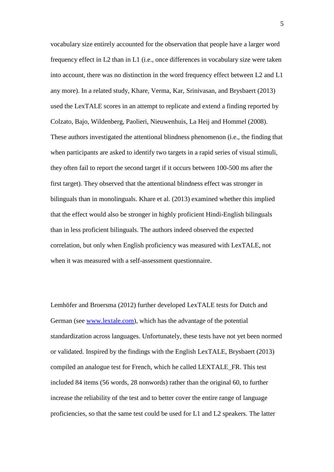vocabulary size entirely accounted for the observation that people have a larger word frequency effect in L2 than in L1 (i.e., once differences in vocabulary size were taken into account, there was no distinction in the word frequency effect between L2 and L1 any more). In a related study, Khare, Verma, Kar, Srinivasan, and Brysbaert (2013) used the LexTALE scores in an attempt to replicate and extend a finding reported by Colzato, Bajo, Wildenberg, Paolieri, Nieuwenhuis, La Heij and Hommel (2008). These authors investigated the attentional blindness phenomenon (i.e., the finding that when participants are asked to identify two targets in a rapid series of visual stimuli, they often fail to report the second target if it occurs between 100-500 ms after the first target). They observed that the attentional blindness effect was stronger in bilinguals than in monolinguals. Khare et al. (2013) examined whether this implied that the effect would also be stronger in highly proficient Hindi-English bilinguals than in less proficient bilinguals. The authors indeed observed the expected correlation, but only when English proficiency was measured with LexTALE, not when it was measured with a self-assessment questionnaire.

Lemhöfer and Broersma (2012) further developed LexTALE tests for Dutch and German (see www.lextale.com), which has the advantage of the potential standardization across languages. Unfortunately, these tests have not yet been normed or validated. Inspired by the findings with the English LexTALE, Brysbaert (2013) compiled an analogue test for French, which he called LEXTALE\_FR. This test included 84 items (56 words, 28 nonwords) rather than the original 60, to further increase the reliability of the test and to better cover the entire range of language proficiencies, so that the same test could be used for L1 and L2 speakers. The latter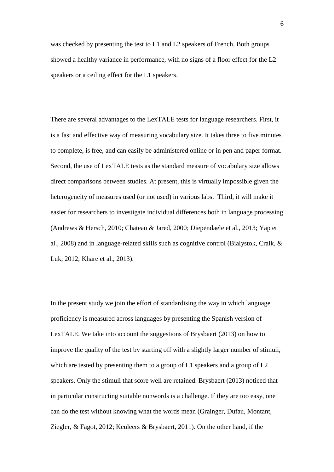was checked by presenting the test to L1 and L2 speakers of French. Both groups showed a healthy variance in performance, with no signs of a floor effect for the L2 speakers or a ceiling effect for the L1 speakers.

There are several advantages to the LexTALE tests for language researchers. First, it is a fast and effective way of measuring vocabulary size. It takes three to five minutes to complete, is free, and can easily be administered online or in pen and paper format. Second, the use of LexTALE tests as the standard measure of vocabulary size allows direct comparisons between studies. At present, this is virtually impossible given the heterogeneity of measures used (or not used) in various labs. Third, it will make it easier for researchers to investigate individual differences both in language processing (Andrews & Hersch, 2010; Chateau & Jared, 2000; Diependaele et al., 2013; Yap et al., 2008) and in language-related skills such as cognitive control (Bialystok, Craik, & Luk, 2012; Khare et al., 2013).

In the present study we join the effort of standardising the way in which language proficiency is measured across languages by presenting the Spanish version of LexTALE. We take into account the suggestions of Brysbaert (2013) on how to improve the quality of the test by starting off with a slightly larger number of stimuli, which are tested by presenting them to a group of L1 speakers and a group of L2 speakers. Only the stimuli that score well are retained. Brysbaert (2013) noticed that in particular constructing suitable nonwords is a challenge. If they are too easy, one can do the test without knowing what the words mean (Grainger, Dufau, Montant, Ziegler, & Fagot, 2012; Keuleers & Brysbaert, 2011). On the other hand, if the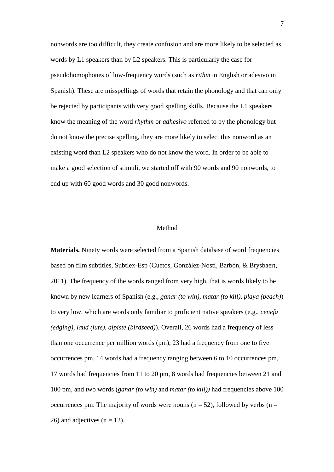nonwords are too difficult, they create confusion and are more likely to be selected as words by L1 speakers than by L2 speakers. This is particularly the case for pseudohomophones of low-frequency words (such as *rithm* in English or adesivo in Spanish). These are misspellings of words that retain the phonology and that can only be rejected by participants with very good spelling skills. Because the L1 speakers know the meaning of the word *rhythm* or *adhesivo* referred to by the phonology but do not know the precise spelling, they are more likely to select this nonword as an existing word than L2 speakers who do not know the word. In order to be able to make a good selection of stimuli, we started off with 90 words and 90 nonwords, to end up with 60 good words and 30 good nonwords.

#### Method

**Materials.** Ninety words were selected from a Spanish database of word frequencies based on film subtitles, Subtlex-Esp (Cuetos, González-Nosti, Barbón, & Brysbaert, 2011). The frequency of the words ranged from very high, that is words likely to be known by new learners of Spanish (e.g., *ganar (to win), matar (to kill), playa (beach)*) to very low, which are words only familiar to proficient native speakers (e.g., *cenefa (edging), laud (lute), alpiste (birdseed)*). Overall, 26 words had a frequency of less than one occurrence per million words (pm), 23 had a frequency from one to five occurrences pm, 14 words had a frequency ranging between 6 to 10 occurrences pm, 17 words had frequencies from 11 to 20 pm, 8 words had frequencies between 21 and 100 pm, and two words (*ganar (to win)* and *matar (to kill))* had frequencies above 100 occurrences pm. The majority of words were nouns ( $n = 52$ ), followed by verbs ( $n =$ 26) and adjectives  $(n = 12)$ .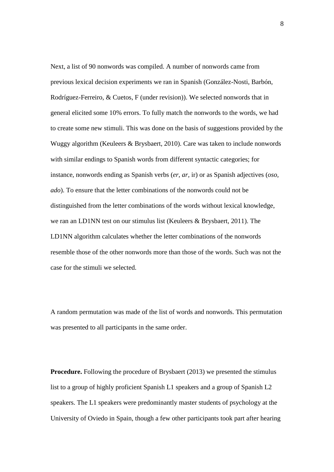Next, a list of 90 nonwords was compiled. A number of nonwords came from previous lexical decision experiments we ran in Spanish (González-Nosti, Barbón, Rodríguez-Ferreiro, & Cuetos, F (under revision)). We selected nonwords that in general elicited some 10% errors. To fully match the nonwords to the words, we had to create some new stimuli. This was done on the basis of suggestions provided by the Wuggy algorithm (Keuleers & Brysbaert, 2010). Care was taken to include nonwords with similar endings to Spanish words from different syntactic categories; for instance, nonwords ending as Spanish verbs (*er, ar,* ir) or as Spanish adjectives (*oso, ado*). To ensure that the letter combinations of the nonwords could not be distinguished from the letter combinations of the words without lexical knowledge, we ran an LD1NN test on our stimulus list (Keuleers & Brysbaert, 2011). The LD1NN algorithm calculates whether the letter combinations of the nonwords resemble those of the other nonwords more than those of the words. Such was not the case for the stimuli we selected.

A random permutation was made of the list of words and nonwords. This permutation was presented to all participants in the same order.

**Procedure.** Following the procedure of Brysbaert (2013) we presented the stimulus list to a group of highly proficient Spanish L1 speakers and a group of Spanish L2 speakers. The L1 speakers were predominantly master students of psychology at the University of Oviedo in Spain, though a few other participants took part after hearing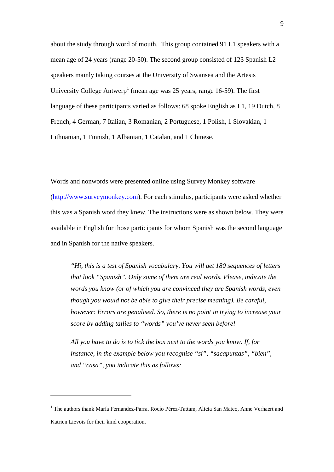about the study through word of mouth. This group contained 91 L1 speakers with a mean age of 24 years (range 20-50). The second group consisted of 123 Spanish L2 speakers mainly taking courses at the University of Swansea and the Artesis University College Antwerp<sup>1</sup> (mean age was 25 years; range 16-59). The first language of these participants varied as follows: 68 spoke English as L1, 19 Dutch, 8 French, 4 German, 7 Italian, 3 Romanian, 2 Portuguese, 1 Polish, 1 Slovakian, 1 Lithuanian, 1 Finnish, 1 Albanian, 1 Catalan, and 1 Chinese.

Words and nonwords were presented online using Survey Monkey software (http://www.surveymonkey.com). For each stimulus, participants were asked whether this was a Spanish word they knew. The instructions were as shown below. They were available in English for those participants for whom Spanish was the second language and in Spanish for the native speakers.

*"Hi, this is a test of Spanish vocabulary. You will get 180 sequences of letters that look "Spanish". Only some of them are real words. Please, indicate the words you know (or of which you are convinced they are Spanish words, even though you would not be able to give their precise meaning). Be careful, however: Errors are penalised. So, there is no point in trying to increase your score by adding tallies to "words" you've never seen before!* 

*All you have to do is to tick the box next to the words you know. If, for instance, in the example below you recognise "sí", "sacapuntas", "bien", and "casa", you indicate this as follows:* 

 $\overline{a}$ 

<sup>&</sup>lt;sup>1</sup> The authors thank María Fernandez-Parra, Rocío Pérez-Tattam, Alicia San Mateo, Anne Verhaert and Katrien Lievois for their kind cooperation.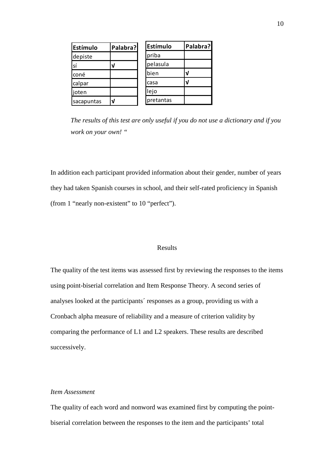| Estímulo   | Palabra? | Estímulo  | Palabra? |
|------------|----------|-----------|----------|
| depiste    |          | priba     |          |
| sí         | V        | pelasula  |          |
| coné       |          | bien      |          |
| calpar     |          | casa      |          |
| joten      |          | lejo      |          |
| sacapuntas | V        | pretantas |          |

*The results of this test are only useful if you do not use a dictionary and if you work on your own! "* 

In addition each participant provided information about their gender, number of years they had taken Spanish courses in school, and their self-rated proficiency in Spanish (from 1 "nearly non-existent" to 10 "perfect").

#### Results

The quality of the test items was assessed first by reviewing the responses to the items using point-biserial correlation and Item Response Theory. A second series of analyses looked at the participants´ responses as a group, providing us with a Cronbach alpha measure of reliability and a measure of criterion validity by comparing the performance of L1 and L2 speakers. These results are described successively.

# *Item Assessment*

The quality of each word and nonword was examined first by computing the pointbiserial correlation between the responses to the item and the participants' total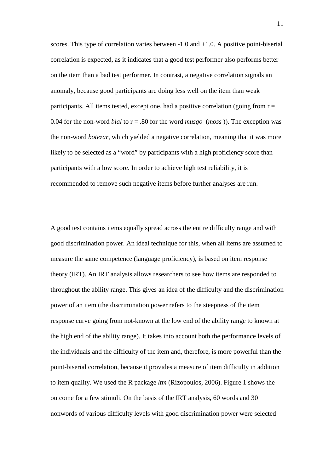scores. This type of correlation varies between -1.0 and +1.0. A positive point-biserial correlation is expected, as it indicates that a good test performer also performs better on the item than a bad test performer. In contrast, a negative correlation signals an anomaly, because good participants are doing less well on the item than weak participants. All items tested, except one, had a positive correlation (going from  $r =$ 0.04 for the non-word *bial* to  $r = .80$  for the word *musgo (moss)*). The exception was the non-word *botezar*, which yielded a negative correlation, meaning that it was more likely to be selected as a "word" by participants with a high proficiency score than participants with a low score. In order to achieve high test reliability, it is recommended to remove such negative items before further analyses are run.

A good test contains items equally spread across the entire difficulty range and with good discrimination power. An ideal technique for this, when all items are assumed to measure the same competence (language proficiency), is based on item response theory (IRT). An IRT analysis allows researchers to see how items are responded to throughout the ability range. This gives an idea of the difficulty and the discrimination power of an item (the discrimination power refers to the steepness of the item response curve going from not-known at the low end of the ability range to known at the high end of the ability range). It takes into account both the performance levels of the individuals and the difficulty of the item and, therefore, is more powerful than the point-biserial correlation, because it provides a measure of item difficulty in addition to item quality. We used the R package *ltm* (Rizopoulos, 2006). Figure 1 shows the outcome for a few stimuli. On the basis of the IRT analysis, 60 words and 30 nonwords of various difficulty levels with good discrimination power were selected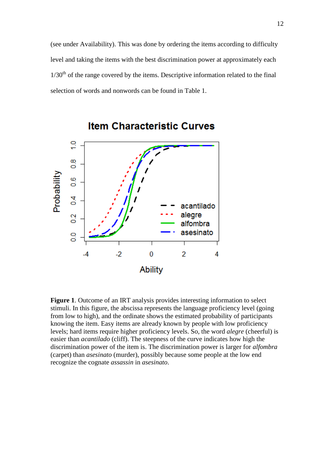(see under Availability). This was done by ordering the items according to difficulty level and taking the items with the best discrimination power at approximately each  $1/30<sup>th</sup>$  of the range covered by the items. Descriptive information related to the final selection of words and nonwords can be found in Table 1.



**Item Characteristic Curves** 

**Figure 1**. Outcome of an IRT analysis provides interesting information to select stimuli. In this figure, the abscissa represents the language proficiency level (going from low to high), and the ordinate shows the estimated probability of participants knowing the item. Easy items are already known by people with low proficiency levels; hard items require higher proficiency levels. So, the word *alegre* (cheerful) is easier than *acantilado* (cliff). The steepness of the curve indicates how high the discrimination power of the item is. The discrimination power is larger for *alfombra* (carpet) than *asesinato* (murder), possibly because some people at the low end recognize the cognate *assassin* in *asesinato*.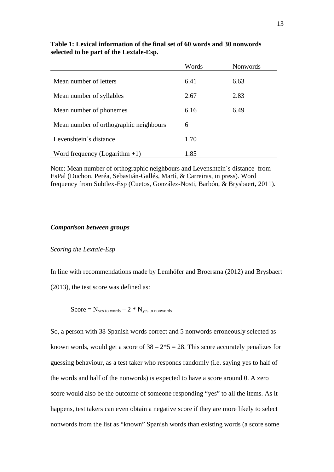| Words | <b>Nonwords</b> |
|-------|-----------------|
| 6.41  | 6.63            |
| 2.67  | 2.83            |
| 6.16  | 6.49            |
| 6     |                 |
|       |                 |
|       |                 |
|       | 1.70<br>1.85    |

**Table 1: Lexical information of the final set of 60 words and 30 nonwords selected to be part of the Lextale-Esp.** 

Note: Mean number of orthographic neighbours and Levenshtein´s distance from EsPal (Duchon, Peréa, Sebastián-Gallés, Martí, & Carreiras, in press). Word frequency from Subtlex-Esp (Cuetos, González-Nosti, Barbón, & Brysbaert, 2011).

# *Comparison between groups*

*Scoring the Lextale-Esp* 

In line with recommendations made by Lemhöfer and Broersma (2012) and Brysbaert (2013), the test score was defined as:

$$
Score = N_{yes\ to\ words} - 2 * N_{yes\ to\ nonwords}
$$

So, a person with 38 Spanish words correct and 5 nonwords erroneously selected as known words, would get a score of  $38 - 2*5 = 28$ . This score accurately penalizes for guessing behaviour, as a test taker who responds randomly (i.e. saying yes to half of the words and half of the nonwords) is expected to have a score around 0. A zero score would also be the outcome of someone responding "yes" to all the items. As it happens, test takers can even obtain a negative score if they are more likely to select nonwords from the list as "known" Spanish words than existing words (a score some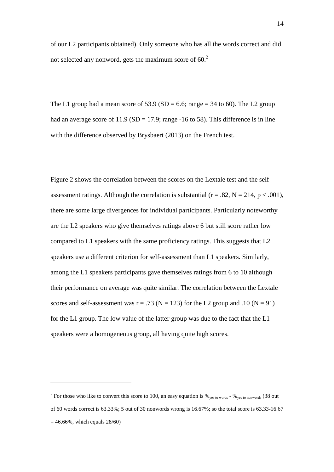of our L2 participants obtained). Only someone who has all the words correct and did not selected any nonword, gets the maximum score of  $60<sup>2</sup>$ 

The L1 group had a mean score of 53.9 (SD = 6.6; range = 34 to 60). The L2 group had an average score of  $11.9$  (SD = 17.9; range -16 to 58). This difference is in line with the difference observed by Brysbaert (2013) on the French test.

Figure 2 shows the correlation between the scores on the Lextale test and the selfassessment ratings. Although the correlation is substantial ( $r = .82$ ,  $N = 214$ ,  $p < .001$ ), there are some large divergences for individual participants. Particularly noteworthy are the L2 speakers who give themselves ratings above 6 but still score rather low compared to L1 speakers with the same proficiency ratings. This suggests that L2 speakers use a different criterion for self-assessment than L1 speakers. Similarly, among the L1 speakers participants gave themselves ratings from 6 to 10 although their performance on average was quite similar. The correlation between the Lextale scores and self-assessment was  $r = .73$  (N = 123) for the L2 group and .10 (N = 91) for the L1 group. The low value of the latter group was due to the fact that the L1 speakers were a homogeneous group, all having quite high scores.

 $\overline{a}$ 

<sup>&</sup>lt;sup>2</sup> For those who like to convert this score to 100, an easy equation is  $\%_{yes \text{ to words}}$  -  $\%_{yes \text{ to nonwords}}$  (38 out of 60 words correct is 63.33%; 5 out of 30 nonwords wrong is 16.67%; so the total score is 63.33-16.67  $= 46.66\%$ , which equals  $28/60$ )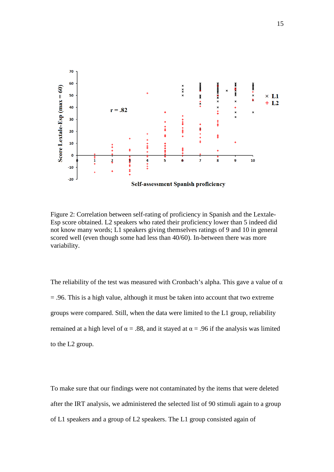

Figure 2: Correlation between self-rating of proficiency in Spanish and the Lextale-Esp score obtained. L2 speakers who rated their proficiency lower than 5 indeed did not know many words; L1 speakers giving themselves ratings of 9 and 10 in general scored well (even though some had less than 40/60). In-between there was more variability.

The reliability of the test was measured with Cronbach's alpha. This gave a value of  $\alpha$ = .96. This is a high value, although it must be taken into account that two extreme groups were compared. Still, when the data were limited to the L1 group, reliability remained at a high level of  $\alpha = .88$ , and it stayed at  $\alpha = .96$  if the analysis was limited to the L2 group.

To make sure that our findings were not contaminated by the items that were deleted after the IRT analysis, we administered the selected list of 90 stimuli again to a group of L1 speakers and a group of L2 speakers. The L1 group consisted again of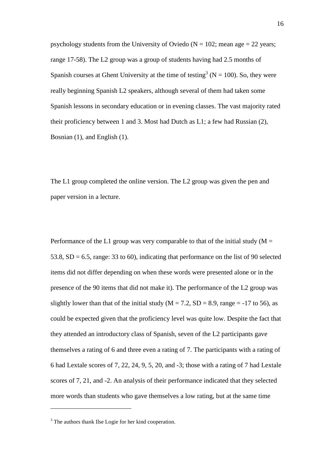psychology students from the University of Oviedo ( $N = 102$ ; mean age = 22 years; range 17-58). The L2 group was a group of students having had 2.5 months of Spanish courses at Ghent University at the time of testing<sup>3</sup> ( $N = 100$ ). So, they were really beginning Spanish L2 speakers, although several of them had taken some Spanish lessons in secondary education or in evening classes. The vast majority rated their proficiency between 1 and 3. Most had Dutch as L1; a few had Russian (2), Bosnian (1), and English (1).

The L1 group completed the online version. The L2 group was given the pen and paper version in a lecture.

Performance of the L1 group was very comparable to that of the initial study ( $M =$ 53.8,  $SD = 6.5$ , range: 33 to 60), indicating that performance on the list of 90 selected items did not differ depending on when these words were presented alone or in the presence of the 90 items that did not make it). The performance of the L2 group was slightly lower than that of the initial study ( $M = 7.2$ ,  $SD = 8.9$ , range = -17 to 56), as could be expected given that the proficiency level was quite low. Despite the fact that they attended an introductory class of Spanish, seven of the L2 participants gave themselves a rating of 6 and three even a rating of 7. The participants with a rating of 6 had Lextale scores of 7, 22, 24, 9, 5, 20, and -3; those with a rating of 7 had Lextale scores of 7, 21, and -2. An analysis of their performance indicated that they selected more words than students who gave themselves a low rating, but at the same time

 $\overline{a}$ 

<sup>&</sup>lt;sup>3</sup> The authors thank Ilse Logie for her kind cooperation.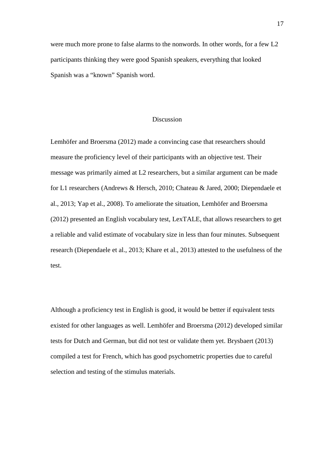were much more prone to false alarms to the nonwords. In other words, for a few L2 participants thinking they were good Spanish speakers, everything that looked Spanish was a "known" Spanish word.

# Discussion

Lemhöfer and Broersma (2012) made a convincing case that researchers should measure the proficiency level of their participants with an objective test. Their message was primarily aimed at L2 researchers, but a similar argument can be made for L1 researchers (Andrews & Hersch, 2010; Chateau & Jared, 2000; Diependaele et al., 2013; Yap et al., 2008). To ameliorate the situation, Lemhöfer and Broersma (2012) presented an English vocabulary test, LexTALE, that allows researchers to get a reliable and valid estimate of vocabulary size in less than four minutes. Subsequent research (Diependaele et al., 2013; Khare et al., 2013) attested to the usefulness of the test.

Although a proficiency test in English is good, it would be better if equivalent tests existed for other languages as well. Lemhöfer and Broersma (2012) developed similar tests for Dutch and German, but did not test or validate them yet. Brysbaert (2013) compiled a test for French, which has good psychometric properties due to careful selection and testing of the stimulus materials.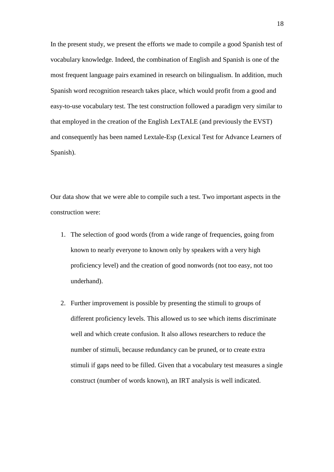In the present study, we present the efforts we made to compile a good Spanish test of vocabulary knowledge. Indeed, the combination of English and Spanish is one of the most frequent language pairs examined in research on bilingualism. In addition, much Spanish word recognition research takes place, which would profit from a good and easy-to-use vocabulary test. The test construction followed a paradigm very similar to that employed in the creation of the English LexTALE (and previously the EVST) and consequently has been named Lextale-Esp (Lexical Test for Advance Learners of Spanish).

Our data show that we were able to compile such a test. Two important aspects in the construction were:

- 1. The selection of good words (from a wide range of frequencies, going from known to nearly everyone to known only by speakers with a very high proficiency level) and the creation of good nonwords (not too easy, not too underhand).
- 2. Further improvement is possible by presenting the stimuli to groups of different proficiency levels. This allowed us to see which items discriminate well and which create confusion. It also allows researchers to reduce the number of stimuli, because redundancy can be pruned, or to create extra stimuli if gaps need to be filled. Given that a vocabulary test measures a single construct (number of words known), an IRT analysis is well indicated.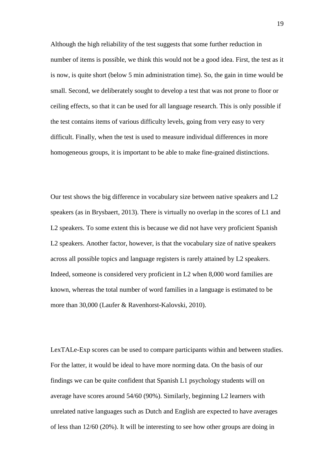Although the high reliability of the test suggests that some further reduction in number of items is possible, we think this would not be a good idea. First, the test as it is now, is quite short (below 5 min administration time). So, the gain in time would be small. Second, we deliberately sought to develop a test that was not prone to floor or ceiling effects, so that it can be used for all language research. This is only possible if the test contains items of various difficulty levels, going from very easy to very difficult. Finally, when the test is used to measure individual differences in more homogeneous groups, it is important to be able to make fine-grained distinctions.

Our test shows the big difference in vocabulary size between native speakers and L2 speakers (as in Brysbaert, 2013). There is virtually no overlap in the scores of L1 and L2 speakers. To some extent this is because we did not have very proficient Spanish L2 speakers. Another factor, however, is that the vocabulary size of native speakers across all possible topics and language registers is rarely attained by L2 speakers. Indeed, someone is considered very proficient in L2 when 8,000 word families are known, whereas the total number of word families in a language is estimated to be more than 30,000 (Laufer & Ravenhorst-Kalovski, 2010).

LexTALe-Exp scores can be used to compare participants within and between studies. For the latter, it would be ideal to have more norming data. On the basis of our findings we can be quite confident that Spanish L1 psychology students will on average have scores around 54/60 (90%). Similarly, beginning L2 learners with unrelated native languages such as Dutch and English are expected to have averages of less than 12/60 (20%). It will be interesting to see how other groups are doing in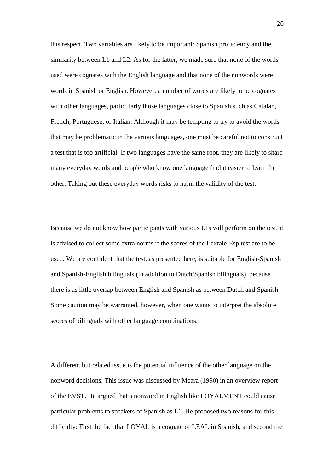this respect. Two variables are likely to be important: Spanish proficiency and the similarity between L1 and L2. As for the latter, we made sure that none of the words used were cognates with the English language and that none of the nonwords were words in Spanish or English. However, a number of words are likely to be cognates with other languages, particularly those languages close to Spanish such as Catalan, French, Portuguese, or Italian. Although it may be tempting to try to avoid the words that may be problematic in the various languages, one must be careful not to construct a test that is too artificial. If two languages have the same root, they are likely to share many everyday words and people who know one language find it easier to learn the other. Taking out these everyday words risks to harm the validity of the test.

Because we do not know how participants with various L1s will perform on the test, it is advised to collect some extra norms if the scores of the Lextale-Esp test are to be used. We are confident that the test, as presented here, is suitable for English-Spanish and Spanish-English bilinguals (in addition to Dutch/Spanish bilinguals), because there is as little overlap between English and Spanish as between Dutch and Spanish. Some caution may be warranted, however, when one wants to interpret the absolute scores of bilinguals with other language combinations.

A different but related issue is the potential influence of the other language on the nonword decisions. This issue was discussed by Meara (1990) in an overview report of the EVST. He argued that a nonword in English like LOYALMENT could cause particular problems to speakers of Spanish as L1. He proposed two reasons for this difficulty: First the fact that LOYAL is a cognate of LEAL in Spanish, and second the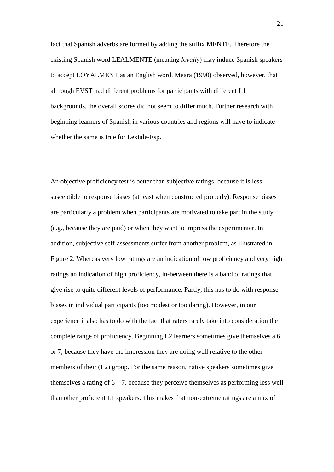fact that Spanish adverbs are formed by adding the suffix MENTE. Therefore the existing Spanish word LEALMENTE (meaning *loyally*) may induce Spanish speakers to accept LOYALMENT as an English word. Meara (1990) observed, however, that although EVST had different problems for participants with different L1 backgrounds, the overall scores did not seem to differ much. Further research with beginning learners of Spanish in various countries and regions will have to indicate whether the same is true for Lextale-Esp.

An objective proficiency test is better than subjective ratings, because it is less susceptible to response biases (at least when constructed properly). Response biases are particularly a problem when participants are motivated to take part in the study (e.g., because they are paid) or when they want to impress the experimenter. In addition, subjective self-assessments suffer from another problem, as illustrated in Figure 2. Whereas very low ratings are an indication of low proficiency and very high ratings an indication of high proficiency, in-between there is a band of ratings that give rise to quite different levels of performance. Partly, this has to do with response biases in individual participants (too modest or too daring). However, in our experience it also has to do with the fact that raters rarely take into consideration the complete range of proficiency. Beginning L2 learners sometimes give themselves a 6 or 7, because they have the impression they are doing well relative to the other members of their (L2) group. For the same reason, native speakers sometimes give themselves a rating of  $6 - 7$ , because they perceive themselves as performing less well than other proficient L1 speakers. This makes that non-extreme ratings are a mix of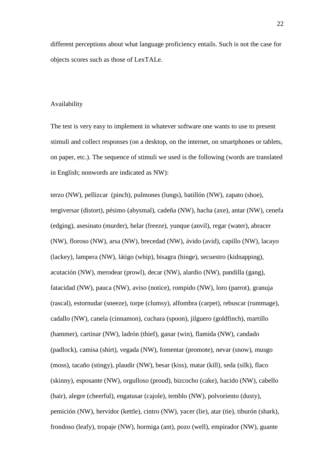different perceptions about what language proficiency entails. Such is not the case for objects scores such as those of LexTALe.

#### Availability

The test is very easy to implement in whatever software one wants to use to present stimuli and collect responses (on a desktop, on the internet, on smartphones or tablets, on paper, etc.). The sequence of stimuli we used is the following (words are translated in English; nonwords are indicated as NW):

terzo (NW), pellizcar (pinch), pulmones (lungs), batillón (NW), zapato (shoe), tergiversar (distort), pésimo (abysmal), cadeña (NW), hacha (axe), antar (NW), cenefa (edging), asesinato (murder), helar (freeze), yunque (anvil), regar (water), abracer (NW), floroso (NW), arsa (NW), brecedad (NW), ávido (avid), capillo (NW), lacayo (lackey), lampera (NW), látigo (whip), bisagra (hinge), secuestro (kidnapping), acutación (NW), merodear (prowl), decar (NW), alardio (NW), pandilla (gang), fatacidad (NW), pauca (NW), aviso (notice), rompido (NW), loro (parrot), granuja (rascal), estornudar (sneeze), torpe (clumsy), alfombra (carpet), rebuscar (rummage), cadallo (NW), canela (cinnamon), cuchara (spoon), jilguero (goldfinch), martillo (hammer), cartinar (NW), ladrón (thief), ganar (win), flamida (NW), candado (padlock), camisa (shirt), vegada (NW), fomentar (promote), nevar (snow), musgo (moss), tacaño (stingy), plaudir (NW), besar (kiss), matar (kill), seda (silk), flaco (skinny), esposante (NW), orgulloso (proud), bizcocho (cake), hacido (NW), cabello (hair), alegre (cheerful), engatusar (cajole), temblo (NW), polvoriento (dusty), pemición (NW), hervidor (kettle), cintro (NW), yacer (lie), atar (tie), tiburón (shark), frondoso (leafy), tropaje (NW), hormiga (ant), pozo (well), empirador (NW), guante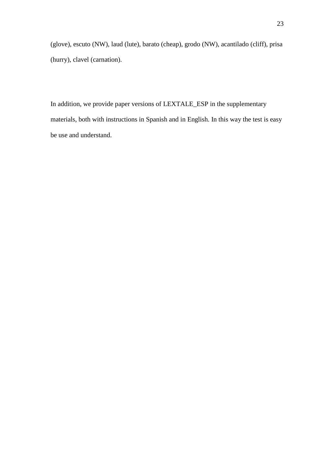(glove), escuto (NW), laud (lute), barato (cheap), grodo (NW), acantilado (cliff), prisa (hurry), clavel (carnation).

In addition, we provide paper versions of LEXTALE\_ESP in the supplementary materials, both with instructions in Spanish and in English. In this way the test is easy be use and understand.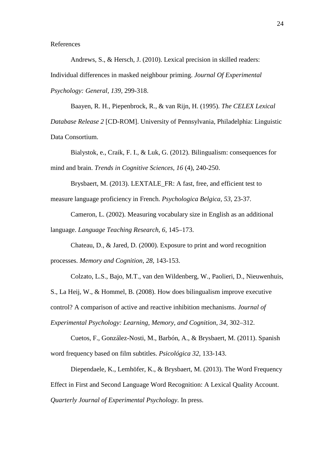References

Andrews, S., & Hersch, J. (2010). Lexical precision in skilled readers: Individual differences in masked neighbour priming. *Journal Of Experimental Psychology: General, 139,* 299-318.

Baayen, R. H., Piepenbrock, R., & van Rijn, H. (1995). *The CELEX Lexical Database Release 2* [CD-ROM]. University of Pennsylvania, Philadelphia: Linguistic Data Consortium.

Bialystok, e., Craik, F. I., & Luk, G. (2012). Bilingualism: consequences for mind and brain. *Trends in Cognitive Sciences, 16* (4), 240-250.

Brysbaert, M. (2013). LEXTALE\_FR: A fast, free, and efficient test to measure language proficiency in French. *Psychologica Belgica, 53,* 23-37.

Cameron, L. (2002). Measuring vocabulary size in English as an additional language. *Language Teaching Research, 6,* 145–173.

Chateau, D., & Jared, D. (2000). Exposure to print and word recognition processes. *Memory and Cognition, 28,* 143-153.

Colzato, L.S., Bajo, M.T., van den Wildenberg, W., Paolieri, D., Nieuwenhuis, S., La Heij, W., & Hommel, B. (2008). How does bilingualism improve executive control? A comparison of active and reactive inhibition mechanisms. *Journal of Experimental Psychology: Learning, Memory, and Cognition, 34,* 302–312.

Cuetos, F., González-Nosti, M., Barbón, A., & Brysbaert, M. (2011). Spanish word frequency based on film subtitles. *Psicológica 32,* 133-143.

Diependaele, K., Lemhöfer, K., & Brysbaert, M. (2013). The Word Frequency Effect in First and Second Language Word Recognition: A Lexical Quality Account. *Quarterly Journal of Experimental Psychology*. In press.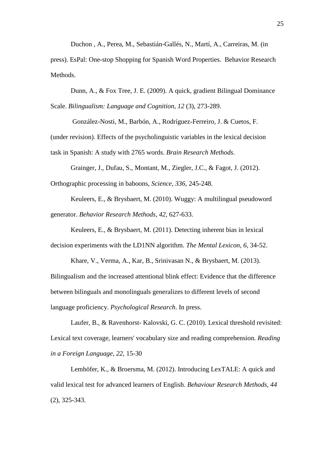Duchon , A., Perea, M., Sebastián-Gallés, N., Martí, A., Carreiras, M. (in

press). EsPal: One-stop Shopping for Spanish Word Properties. Behavior Research Methods.

Dunn, A., & Fox Tree, J. E. (2009). A quick, gradient Bilingual Dominance Scale. *Bilingualism: Language and Cognition, 12* (3), 273-289.

 González-Nosti, M., Barbón, A., Rodríguez-Ferreiro, J. & Cuetos, F. (under revision). Effects of the psycholinguistic variables in the lexical decision task in Spanish: A study with 2765 words. *Brain Research Methods.*

Grainger, J., Dufau, S., Montant, M., Ziegler, J.C., & Fagot, J. (2012). Orthographic processing in baboons, *Science, 336,* 245-248.

Keuleers, E., & Brysbaert, M. (2010). Wuggy: A multilingual pseudoword generator. *Behavior Research Methods, 42,* 627-633.

Keuleers, E., & Brysbaert, M. (2011). Detecting inherent bias in lexical decision experiments with the LD1NN algorithm. *The Mental Lexicon, 6,* 34-52.

Khare, V., Verma, A., Kar, B., Srinivasan N., & Brysbaert, M. (2013). Bilingualism and the increased attentional blink effect: Evidence that the difference between bilinguals and monolinguals generalizes to different levels of second language proficiency. *Psychological Research*. In press.

Laufer, B., & Ravenhorst- Kalovski, G. C. (2010). Lexical threshold revisited: Lexical text coverage, learners' vocabulary size and reading comprehension*. Reading in a Foreign Language, 22*, 15-30

Lemhöfer, K., & Broersma, M. (2012). Introducing LexTALE: A quick and valid lexical test for advanced learners of English. *Behaviour Research Methods, 44*  (2), 325-343.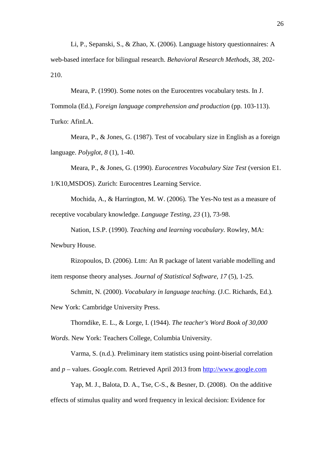Li, P., Sepanski, S., & Zhao, X. (2006). Language history questionnaires: A web-based interface for bilingual research. *Behavioral Research Methods, 38*, 202- 210.

Meara, P. (1990). Some notes on the Eurocentres vocabulary tests. In J.

Tommola (Ed.), *Foreign language comprehension and production* (pp. 103-113).

Turko: AfinLA.

Meara, P., & Jones, G. (1987). Test of vocabulary size in English as a foreign language. *Polyglot, 8* (1), 1-40.

Meara, P., & Jones, G. (1990). *Eurocentres Vocabulary Size Test* (version E1. 1/K10,MSDOS). Zurich: Eurocentres Learning Service.

Mochida, A., & Harrington, M. W. (2006). The Yes-No test as a measure of receptive vocabulary knowledge. *Language Testing, 23* (1), 73-98.

Nation, I.S.P. (1990). *Teaching and learning vocabulary.* Rowley, MA: Newbury House.

Rizopoulos, D. (2006). Ltm: An R package of latent variable modelling and item response theory analyses. *Journal of Statistical Software, 17* (5), 1-25.

Schmitt, N. (2000). *Vocabulary in language teaching.* (J.C. Richards, Ed.)*.* 

New York: Cambridge University Press.

Thorndike, E. L., & Lorge, I. (1944). *The teacher's Word Book of 30,000* 

*Words*. New York: Teachers College, Columbia University.

Varma, S. (n.d.). Preliminary item statistics using point-biserial correlation and *p –* values. *Google.*com*.* Retrieved April 2013 from http://www.google.com

Yap, M. J., Balota, D. A., Tse, C-S., & Besner, D. (2008). On the additive effects of stimulus quality and word frequency in lexical decision: Evidence for